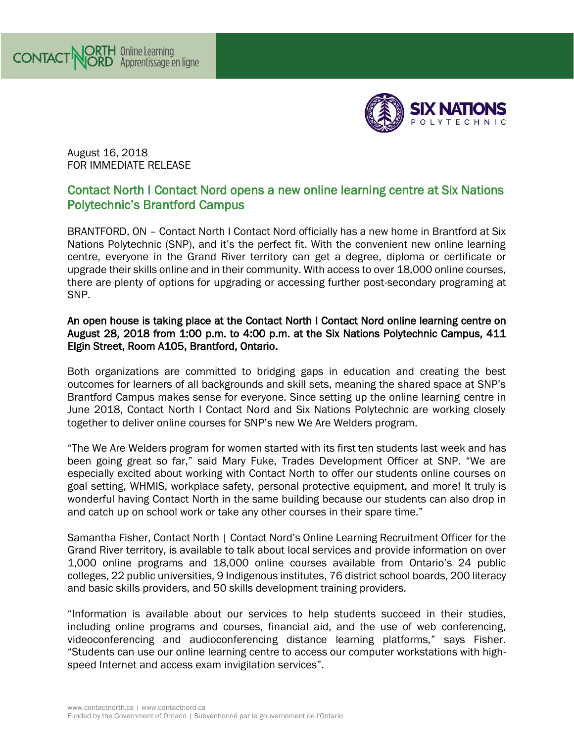

August 16, 2018 FOR IMMEDIATE RELEASE

## Contact North I Contact Nord opens a new online learning centre at Six Nations Polytechnic's Brantford Campus

BRANTFORD, ON – Contact North I Contact Nord officially has a new home in Brantford at Six Nations Polytechnic (SNP), and it's the perfect fit. With the convenient new online learning centre, everyone in the Grand River territory can get a degree, diploma or certificate or upgrade their skills online and in their community. With access to over 18,000 online courses, there are plenty of options for upgrading or accessing further post-secondary programing at SNP.

## An open house is taking place at the Contact North I Contact Nord online learning centre on August 28, 2018 from 1:00 p.m. to 4:00 p.m. at the Six Nations Polytechnic Campus, 411 Elgin Street, Room A105, Brantford, Ontario.

Both organizations are committed to bridging gaps in education and creating the best outcomes for learners of all backgrounds and skill sets, meaning the shared space at SNP's Brantford Campus makes sense for everyone. Since setting up the online learning centre in June 2018, Contact North I Contact Nord and Six Nations Polytechnic are working closely together to deliver online courses for SNP's new We Are Welders program.

"The We Are Welders program for women started with its first ten students last week and has been going great so far," said Mary Fuke, Trades Development Officer at SNP. "We are especially excited about working with Contact North to offer our students online courses on goal setting, WHMIS, workplace safety, personal protective equipment, and more! It truly is wonderful having Contact North in the same building because our students can also drop in and catch up on school work or take any other courses in their spare time."

Samantha Fisher, Contact North | Contact Nord's Online Learning Recruitment Officer for the Grand River territory, is available to talk about local services and provide information on over 1,000 online programs and 18,000 online courses available from Ontario's 24 public colleges, 22 public universities, 9 Indigenous institutes, 76 district school boards, 200 literacy and basic skills providers, and 50 skills development training providers.

"Information is available about our services to help students succeed in their studies, including online programs and courses, financial aid, and the use of web conferencing, videoconferencing and audioconferencing distance learning platforms," says Fisher. "Students can use our online learning centre to access our computer workstations with highspeed Internet and access exam invigilation services".